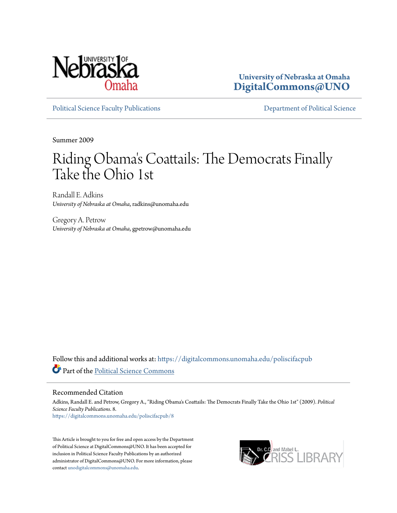

**University of Nebraska at Omaha [DigitalCommons@UNO](https://digitalcommons.unomaha.edu?utm_source=digitalcommons.unomaha.edu%2Fpoliscifacpub%2F8&utm_medium=PDF&utm_campaign=PDFCoverPages)**

[Political Science Faculty Publications](https://digitalcommons.unomaha.edu/poliscifacpub?utm_source=digitalcommons.unomaha.edu%2Fpoliscifacpub%2F8&utm_medium=PDF&utm_campaign=PDFCoverPages) [Department of Political Science](https://digitalcommons.unomaha.edu/polisci?utm_source=digitalcommons.unomaha.edu%2Fpoliscifacpub%2F8&utm_medium=PDF&utm_campaign=PDFCoverPages)

Summer 2009

# Riding Obama 's Coattails: The Democrats Finally Take the Ohio 1st

Randall E. Adkins *University of Nebraska at Omaha*, radkins@unomaha.edu

Gregory A. Petrow *University of Nebraska at Omaha*, gpetrow@unomaha.edu

Follow this and additional works at: [https://digitalcommons.unomaha.edu/poliscifacpub](https://digitalcommons.unomaha.edu/poliscifacpub?utm_source=digitalcommons.unomaha.edu%2Fpoliscifacpub%2F8&utm_medium=PDF&utm_campaign=PDFCoverPages) Part of the [Political Science Commons](http://network.bepress.com/hgg/discipline/386?utm_source=digitalcommons.unomaha.edu%2Fpoliscifacpub%2F8&utm_medium=PDF&utm_campaign=PDFCoverPages)

# Recommended Citation

Adkins, Randall E. and Petrow, Gregory A., "Riding Obama's Coattails: The Democrats Finally Take the Ohio 1st" (2009). *Political Science Faculty Publications*. 8. [https://digitalcommons.unomaha.edu/poliscifacpub/8](https://digitalcommons.unomaha.edu/poliscifacpub/8?utm_source=digitalcommons.unomaha.edu%2Fpoliscifacpub%2F8&utm_medium=PDF&utm_campaign=PDFCoverPages)

This Article is brought to you for free and open access by the Department of Political Science at DigitalCommons@UNO. It has been accepted for inclusion in Political Science Faculty Publications by an authorized administrator of DigitalCommons@UNO. For more information, please contact [unodigitalcommons@unomaha.edu.](mailto:unodigitalcommons@unomaha.edu)

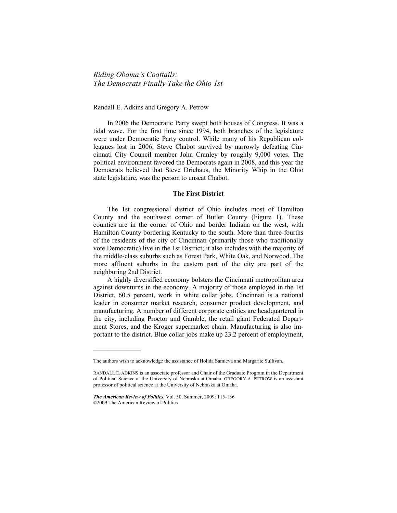*Riding Obamaís Coattails: The Democrats Finally Take the Ohio 1st* 

### Randall E. Adkins and Gregory A. Petrow

 In 2006 the Democratic Party swept both houses of Congress. It was a tidal wave. For the first time since 1994, both branches of the legislature were under Democratic Party control. While many of his Republican colleagues lost in 2006, Steve Chabot survived by narrowly defeating Cincinnati City Council member John Cranley by roughly 9,000 votes. The political environment favored the Democrats again in 2008, and this year the Democrats believed that Steve Driehaus, the Minority Whip in the Ohio state legislature, was the person to unseat Chabot.

# **The First District**

 The 1st congressional district of Ohio includes most of Hamilton County and the southwest corner of Butler County (Figure 1). These counties are in the corner of Ohio and border Indiana on the west, with Hamilton County bordering Kentucky to the south. More than three-fourths of the residents of the city of Cincinnati (primarily those who traditionally vote Democratic) live in the 1st District; it also includes with the majority of the middle-class suburbs such as Forest Park, White Oak, and Norwood. The more affluent suburbs in the eastern part of the city are part of the neighboring 2nd District.

 A highly diversified economy bolsters the Cincinnati metropolitan area against downturns in the economy. A majority of those employed in the 1st District, 60.5 percent, work in white collar jobs. Cincinnati is a national leader in consumer market research, consumer product development, and manufacturing. A number of different corporate entities are headquartered in the city, including Proctor and Gamble, the retail giant Federated Department Stores, and the Kroger supermarket chain. Manufacturing is also important to the district. Blue collar jobs make up 23.2 percent of employment,

 $\mathcal{L}_\text{max}$  , where  $\mathcal{L}_\text{max}$ 

The authors wish to acknowledge the assistance of Holida Samieva and Margarite Sullivan.

RANDALL E. ADKINS is an associate professor and Chair of the Graduate Program in the Department of Political Science at the University of Nebraska at Omaha. GREGORY A. PETROW is an assistant professor of political science at the University of Nebraska at Omaha.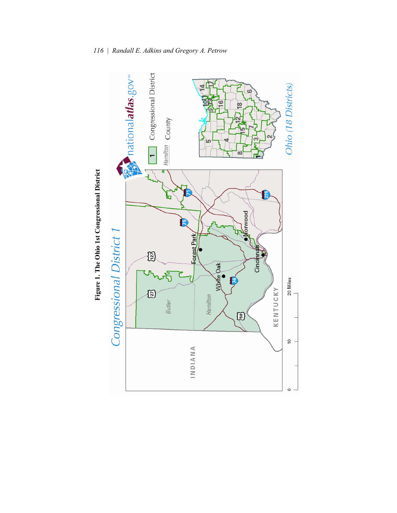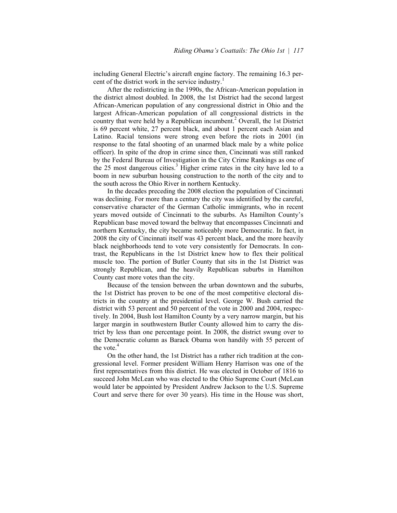including General Electric's aircraft engine factory. The remaining 16.3 percent of the district work in the service industry.<sup>1</sup>

 After the redistricting in the 1990s, the African-American population in the district almost doubled. In 2008, the 1st District had the second largest African-American population of any congressional district in Ohio and the largest African-American population of all congressional districts in the country that were held by a Republican incumbent.<sup>2</sup> Overall, the 1st District is 69 percent white, 27 percent black, and about 1 percent each Asian and Latino. Racial tensions were strong even before the riots in 2001 (in response to the fatal shooting of an unarmed black male by a white police officer). In spite of the drop in crime since then, Cincinnati was still ranked by the Federal Bureau of Investigation in the City Crime Rankings as one of the 25 most dangerous cities.<sup>3</sup> Higher crime rates in the city have led to a boom in new suburban housing construction to the north of the city and to the south across the Ohio River in northern Kentucky.

 In the decades preceding the 2008 election the population of Cincinnati was declining. For more than a century the city was identified by the careful, conservative character of the German Catholic immigrants, who in recent years moved outside of Cincinnati to the suburbs. As Hamilton Countyís Republican base moved toward the beltway that encompasses Cincinnati and northern Kentucky, the city became noticeably more Democratic. In fact, in 2008 the city of Cincinnati itself was 43 percent black, and the more heavily black neighborhoods tend to vote very consistently for Democrats. In contrast, the Republicans in the 1st District knew how to flex their political muscle too. The portion of Butler County that sits in the 1st District was strongly Republican, and the heavily Republican suburbs in Hamilton County cast more votes than the city.

 Because of the tension between the urban downtown and the suburbs, the 1st District has proven to be one of the most competitive electoral districts in the country at the presidential level. George W. Bush carried the district with 53 percent and 50 percent of the vote in 2000 and 2004, respectively. In 2004, Bush lost Hamilton County by a very narrow margin, but his larger margin in southwestern Butler County allowed him to carry the district by less than one percentage point. In 2008, the district swung over to the Democratic column as Barack Obama won handily with 55 percent of the vote  $4$ 

 On the other hand, the 1st District has a rather rich tradition at the congressional level. Former president William Henry Harrison was one of the first representatives from this district. He was elected in October of 1816 to succeed John McLean who was elected to the Ohio Supreme Court (McLean would later be appointed by President Andrew Jackson to the U.S. Supreme Court and serve there for over 30 years). His time in the House was short,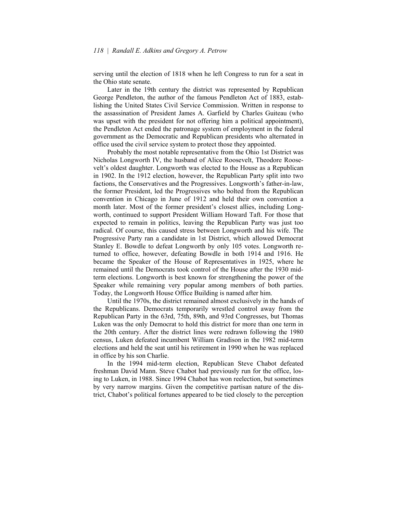serving until the election of 1818 when he left Congress to run for a seat in the Ohio state senate.

 Later in the 19th century the district was represented by Republican George Pendleton, the author of the famous Pendleton Act of 1883, establishing the United States Civil Service Commission. Written in response to the assassination of President James A. Garfield by Charles Guiteau (who was upset with the president for not offering him a political appointment), the Pendleton Act ended the patronage system of employment in the federal government as the Democratic and Republican presidents who alternated in office used the civil service system to protect those they appointed.

 Probably the most notable representative from the Ohio 1st District was Nicholas Longworth IV, the husband of Alice Roosevelt, Theodore Roosevelt's oldest daughter. Longworth was elected to the House as a Republican in 1902. In the 1912 election, however, the Republican Party split into two factions, the Conservatives and the Progressives. Longworth's father-in-law, the former President, led the Progressives who bolted from the Republican convention in Chicago in June of 1912 and held their own convention a month later. Most of the former president's closest allies, including Longworth, continued to support President William Howard Taft. For those that expected to remain in politics, leaving the Republican Party was just too radical. Of course, this caused stress between Longworth and his wife. The Progressive Party ran a candidate in 1st District, which allowed Democrat Stanley E. Bowdle to defeat Longworth by only 105 votes. Longworth returned to office, however, defeating Bowdle in both 1914 and 1916. He became the Speaker of the House of Representatives in 1925, where he remained until the Democrats took control of the House after the 1930 midterm elections. Longworth is best known for strengthening the power of the Speaker while remaining very popular among members of both parties. Today, the Longworth House Office Building is named after him.

 Until the 1970s, the district remained almost exclusively in the hands of the Republicans. Democrats temporarily wrestled control away from the Republican Party in the 63rd, 75th, 89th, and 93rd Congresses, but Thomas Luken was the only Democrat to hold this district for more than one term in the 20th century. After the district lines were redrawn following the 1980 census, Luken defeated incumbent William Gradison in the 1982 mid-term elections and held the seat until his retirement in 1990 when he was replaced in office by his son Charlie.

 In the 1994 mid-term election, Republican Steve Chabot defeated freshman David Mann. Steve Chabot had previously run for the office, losing to Luken, in 1988. Since 1994 Chabot has won reelection, but sometimes by very narrow margins. Given the competitive partisan nature of the district, Chabot's political fortunes appeared to be tied closely to the perception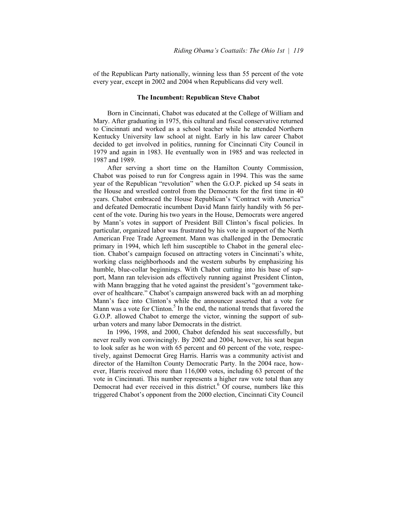of the Republican Party nationally, winning less than 55 percent of the vote every year, except in 2002 and 2004 when Republicans did very well.

#### **The Incumbent: Republican Steve Chabot**

 Born in Cincinnati, Chabot was educated at the College of William and Mary. After graduating in 1975, this cultural and fiscal conservative returned to Cincinnati and worked as a school teacher while he attended Northern Kentucky University law school at night. Early in his law career Chabot decided to get involved in politics, running for Cincinnati City Council in 1979 and again in 1983. He eventually won in 1985 and was reelected in 1987 and 1989.

 After serving a short time on the Hamilton County Commission, Chabot was poised to run for Congress again in 1994. This was the same year of the Republican "revolution" when the G.O.P. picked up 54 seats in the House and wrestled control from the Democrats for the first time in 40 years. Chabot embraced the House Republican's "Contract with America" and defeated Democratic incumbent David Mann fairly handily with 56 percent of the vote. During his two years in the House, Democrats were angered by Mann's votes in support of President Bill Clinton's fiscal policies. In particular, organized labor was frustrated by his vote in support of the North American Free Trade Agreement. Mann was challenged in the Democratic primary in 1994, which left him susceptible to Chabot in the general election. Chabot's campaign focused on attracting voters in Cincinnati's white, working class neighborhoods and the western suburbs by emphasizing his humble, blue-collar beginnings. With Chabot cutting into his base of support, Mann ran television ads effectively running against President Clinton, with Mann bragging that he voted against the president's "government takeover of healthcare." Chabot's campaign answered back with an ad morphing Mann's face into Clinton's while the announcer asserted that a vote for Mann was a vote for Clinton.<sup>5</sup> In the end, the national trends that favored the G.O.P. allowed Chabot to emerge the victor, winning the support of suburban voters and many labor Democrats in the district.

 In 1996, 1998, and 2000, Chabot defended his seat successfully, but never really won convincingly. By 2002 and 2004, however, his seat began to look safer as he won with 65 percent and 60 percent of the vote, respectively, against Democrat Greg Harris. Harris was a community activist and director of the Hamilton County Democratic Party. In the 2004 race, however, Harris received more than 116,000 votes, including 63 percent of the vote in Cincinnati. This number represents a higher raw vote total than any Democrat had ever received in this district.<sup>6</sup> Of course, numbers like this triggered Chabot's opponent from the 2000 election, Cincinnati City Council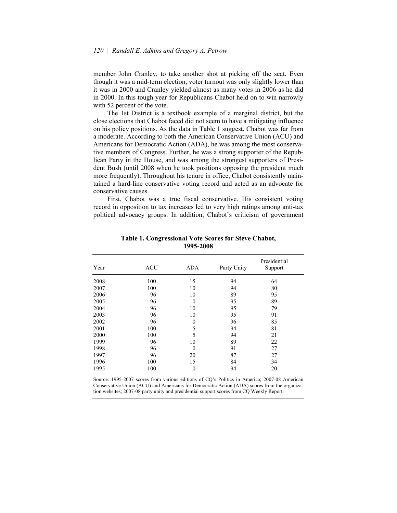member John Cranley, to take another shot at picking off the seat. Even though it was a mid-term election, voter turnout was only slightly lower than it was in 2000 and Cranley yielded almost as many votes in 2006 as he did in 2000. In this tough year for Republicans Chabot held on to win narrowly with 52 percent of the vote.

 The 1st District is a textbook example of a marginal district, but the close elections that Chabot faced did not seem to have a mitigating influence on his policy positions. As the data in Table 1 suggest, Chabot was far from a moderate. According to both the American Conservative Union (ACU) and Americans for Democratic Action (ADA), he was among the most conservative members of Congress. Further, he was a strong supporter of the Republican Party in the House, and was among the strongest supporters of President Bush (until 2008 when he took positions opposing the president much more frequently). Throughout his tenure in office, Chabot consistently maintained a hard-line conservative voting record and acted as an advocate for conservative causes.

 First, Chabot was a true fiscal conservative. His consistent voting record in opposition to tax increases led to very high ratings among anti-tax political advocacy groups. In addition, Chabot's criticism of government

| Year | <b>ACU</b> | ADA      | Party Unity | Presidential<br>Support |
|------|------------|----------|-------------|-------------------------|
| 2008 | 100        | 15       | 94          | 64                      |
| 2007 | 100        | 10       | 94          | 80                      |
| 2006 | 96         | 10       | 89          | 95                      |
| 2005 | 96         | $\theta$ | 95          | 89                      |
| 2004 | 96         | 10       | 95          | 79                      |
| 2003 | 96         | 10       | 95          | 91                      |
| 2002 | 96         | 0        | 96          | 85                      |
| 2001 | 100        | 5        | 94          | 81                      |
| 2000 | 100        | 5        | 94          | 21                      |
| 1999 | 96         | 10       | 89          | 22                      |
| 1998 | 96         | $\theta$ | 91          | 27                      |
| 1997 | 96         | 20       | 87          | 27                      |
| 1996 | 100        | 15       | 84          | 34                      |
| 1995 | 100        | 0        | 94          | 20                      |

**Table 1. Congressional Vote Scores for Steve Chabot, 1995-2008** 

Source: 1995-2007 scores from various editions of CQ's Politics in America; 2007-08 American Conservative Union (ACU) and Americans for Democratic Action (ADA) scores from the organization websites; 2007-08 party unity and presidential support scores from CQ Weekly Report.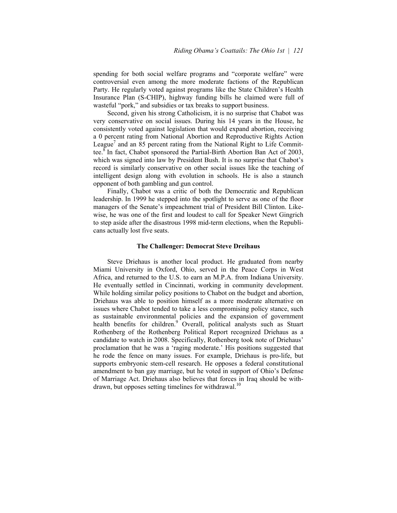spending for both social welfare programs and "corporate welfare" were controversial even among the more moderate factions of the Republican Party. He regularly voted against programs like the State Children's Health Insurance Plan (S-CHIP), highway funding bills he claimed were full of wasteful "pork," and subsidies or tax breaks to support business.

 Second, given his strong Catholicism, it is no surprise that Chabot was very conservative on social issues. During his 14 years in the House, he consistently voted against legislation that would expand abortion, receiving a 0 percent rating from National Abortion and Reproductive Rights Action League<sup>7</sup> and an 85 percent rating from the National Right to Life Committee. ${}^8$ In fact, Chabot sponsored the Partial-Birth Abortion Ban Act of 2003, which was signed into law by President Bush. It is no surprise that Chabot's record is similarly conservative on other social issues like the teaching of intelligent design along with evolution in schools. He is also a staunch opponent of both gambling and gun control.

 Finally, Chabot was a critic of both the Democratic and Republican leadership. In 1999 he stepped into the spotlight to serve as one of the floor managers of the Senate's impeachment trial of President Bill Clinton. Likewise, he was one of the first and loudest to call for Speaker Newt Gingrich to step aside after the disastrous 1998 mid-term elections, when the Republicans actually lost five seats.

## **The Challenger: Democrat Steve Dreihaus**

 Steve Driehaus is another local product. He graduated from nearby Miami University in Oxford, Ohio, served in the Peace Corps in West Africa, and returned to the U.S. to earn an M.P.A. from Indiana University. He eventually settled in Cincinnati, working in community development. While holding similar policy positions to Chabot on the budget and abortion, Driehaus was able to position himself as a more moderate alternative on issues where Chabot tended to take a less compromising policy stance, such as sustainable environmental policies and the expansion of government health benefits for children.<sup>9</sup> Overall, political analysts such as Stuart Rothenberg of the Rothenberg Political Report recognized Driehaus as a candidate to watch in 2008. Specifically, Rothenberg took note of Driehaus' proclamation that he was a 'raging moderate.' His positions suggested that he rode the fence on many issues. For example, Driehaus is pro-life, but supports embryonic stem-cell research. He opposes a federal constitutional amendment to ban gay marriage, but he voted in support of Ohio's Defense of Marriage Act. Driehaus also believes that forces in Iraq should be withdrawn, but opposes setting timelines for withdrawal.<sup>10</sup>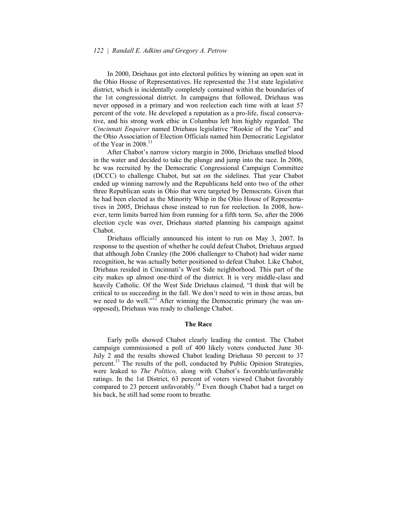In 2000, Driehaus got into electoral politics by winning an open seat in the Ohio House of Representatives. He represented the 31st state legislative district, which is incidentally completely contained within the boundaries of the 1st congressional district. In campaigns that followed, Driehaus was never opposed in a primary and won reelection each time with at least 57 percent of the vote. He developed a reputation as a pro-life, fiscal conservative, and his strong work ethic in Columbus left him highly regarded. The *Cincinnati Enquirer* named Driehaus legislative "Rookie of the Year" and the Ohio Association of Election Officials named him Democratic Legislator of the Year in  $2008<sup>11</sup>$ 

After Chabot's narrow victory margin in 2006, Driehaus smelled blood in the water and decided to take the plunge and jump into the race. In 2006, he was recruited by the Democratic Congressional Campaign Committee (DCCC) to challenge Chabot, but sat on the sidelines. That year Chabot ended up winning narrowly and the Republicans held onto two of the other three Republican seats in Ohio that were targeted by Democrats. Given that he had been elected as the Minority Whip in the Ohio House of Representatives in 2005, Driehaus chose instead to run for reelection. In 2008, however, term limits barred him from running for a fifth term. So, after the 2006 election cycle was over, Driehaus started planning his campaign against Chabot.

 Driehaus officially announced his intent to run on May 3, 2007. In response to the question of whether he could defeat Chabot, Driehaus argued that although John Cranley (the 2006 challenger to Chabot) had wider name recognition, he was actually better positioned to defeat Chabot. Like Chabot, Driehaus resided in Cincinnati's West Side neighborhood. This part of the city makes up almost one-third of the district. It is very middle-class and heavily Catholic. Of the West Side Driehaus claimed, "I think that will be critical to us succeeding in the fall. We don't need to win in those areas, but we need to do well.<sup> $12^{\circ}$ </sup> After winning the Democratic primary (he was unopposed), Driehaus was ready to challenge Chabot.

#### **The Race**

 Early polls showed Chabot clearly leading the contest. The Chabot campaign commissioned a poll of 400 likely voters conducted June 30- July 2 and the results showed Chabot leading Driehaus 50 percent to 37 percent.<sup>13</sup> The results of the poll, conducted by Public Opinion Strategies, were leaked to *The Politico*, along with Chabot's favorable/unfavorable ratings. In the 1st District, 63 percent of voters viewed Chabot favorably compared to 23 percent unfavorably.<sup>14</sup> Even though Chabot had a target on his back, he still had some room to breathe.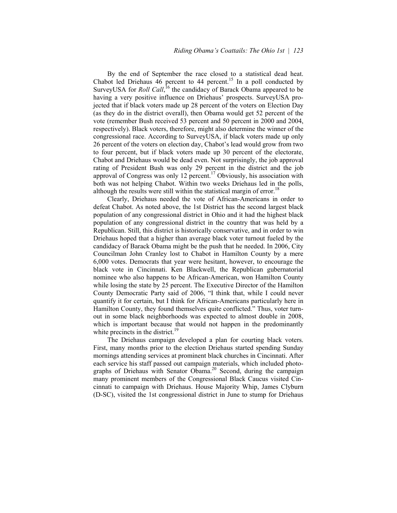By the end of September the race closed to a statistical dead heat. Chabot led Driehaus  $\overline{46}$  percent to 44 percent.<sup>15</sup> In a poll conducted by SurveyUSA for *Roll Call*,<sup>16</sup> the candidacy of Barack Obama appeared to be having a very positive influence on Driehaus' prospects. SurveyUSA projected that if black voters made up 28 percent of the voters on Election Day (as they do in the district overall), then Obama would get 52 percent of the vote (remember Bush received 53 percent and 50 percent in 2000 and 2004, respectively). Black voters, therefore, might also determine the winner of the congressional race. According to SurveyUSA, if black voters made up only 26 percent of the voters on election day, Chabot's lead would grow from two to four percent, but if black voters made up 30 percent of the electorate, Chabot and Driehaus would be dead even. Not surprisingly, the job approval rating of President Bush was only 29 percent in the district and the job approval of Congress was only 12 percent.<sup>17</sup> Obviously, his association with both was not helping Chabot. Within two weeks Driehaus led in the polls, although the results were still within the statistical margin of error.<sup>18</sup>

 Clearly, Driehaus needed the vote of African-Americans in order to defeat Chabot. As noted above, the 1st District has the second largest black population of any congressional district in Ohio and it had the highest black population of any congressional district in the country that was held by a Republican. Still, this district is historically conservative, and in order to win Driehaus hoped that a higher than average black voter turnout fueled by the candidacy of Barack Obama might be the push that he needed. In 2006, City Councilman John Cranley lost to Chabot in Hamilton County by a mere 6,000 votes. Democrats that year were hesitant, however, to encourage the black vote in Cincinnati. Ken Blackwell, the Republican gubernatorial nominee who also happens to be African-American, won Hamilton County while losing the state by 25 percent. The Executive Director of the Hamilton County Democratic Party said of 2006, "I think that, while I could never quantify it for certain, but I think for African-Americans particularly here in Hamilton County, they found themselves quite conflicted." Thus, voter turnout in some black neighborhoods was expected to almost double in 2008, which is important because that would not happen in the predominantly white precincts in the district.<sup>19</sup>

 The Driehaus campaign developed a plan for courting black voters. First, many months prior to the election Driehaus started spending Sunday mornings attending services at prominent black churches in Cincinnati. After each service his staff passed out campaign materials, which included photographs of Driehaus with Senator Obama.<sup>20</sup> Second, during the campaign many prominent members of the Congressional Black Caucus visited Cincinnati to campaign with Driehaus. House Majority Whip, James Clyburn (D-SC), visited the 1st congressional district in June to stump for Driehaus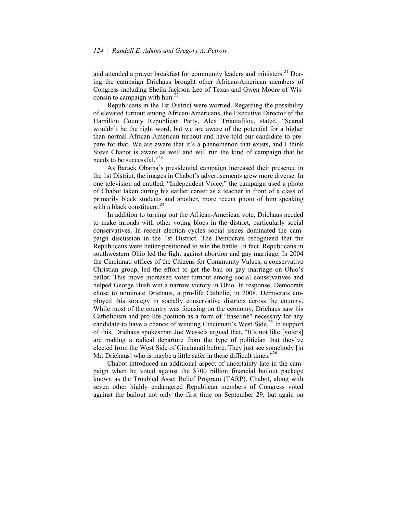and attended a prayer breakfast for community leaders and ministers.<sup>21</sup> During the campaign Driehaus brought other African-American members of Congress including Sheila Jackson Lee of Texas and Gwen Moore of Wisconsin to campaign with him.<sup>22</sup>

 Republicans in the 1st District were worried. Regarding the possibility of elevated turnout among African-Americans, the Executive Director of the Hamilton County Republican Party, Alex Triantafilou, stated, "Scared wouldn't be the right word, but we are aware of the potential for a higher than normal African-American turnout and have told our candidate to prepare for that. We are aware that it's a phenomenon that exists, and I think Steve Chabot is aware as well and will run the kind of campaign that he needs to be successful."<sup>23</sup>

As Barack Obama's presidential campaign increased their presence in the 1st District, the images in Chabot's advertisements grew more diverse. In one television ad entitled, "Independent Voice," the campaign used a photo of Chabot taken during his earlier career as a teacher in front of a class of primarily black students and another, more recent photo of him speaking with a black constituent  $24$ 

 In addition to turning out the African-American vote, Driehaus needed to make inroads with other voting blocs in the district, particularly social conservatives. In recent election cycles social issues dominated the campaign discussion in the 1st District. The Democrats recognized that the Republicans were better-positioned to win the battle. In fact, Republicans in southwestern Ohio led the fight against abortion and gay marriage. In 2004 the Cincinnati offices of the Citizens for Community Values, a conservative Christian group, led the effort to get the ban on gay marriage on Ohio's ballot. This move increased voter turnout among social conservatives and helped George Bush win a narrow victory in Ohio. In response, Democrats chose to nominate Driehaus, a pro-life Catholic, in 2008. Democrats employed this strategy in socially conservative districts across the country. While most of the country was focusing on the economy, Driehaus saw his Catholicism and pro-life position as a form of "baseline" necessary for any candidate to have a chance of winning Cincinnati's West Side.<sup>25</sup> In support of this, Driehaus spokesman Joe Wessels argued that, "It's not like [voters] are making a radical departure from the type of politician that they've elected from the West Side of Cincinnati before. They just see somebody [in Mr. Driehaus] who is maybe a little safer in these difficult times.<sup> $26$ </sup>

 Chabot introduced an additional aspect of uncertainty late in the campaign when he voted against the \$700 billion financial bailout package known as the Troubled Asset Relief Program (TARP). Chabot, along with seven other highly endangered Republican members of Congress voted against the bailout not only the first time on September 29, but again on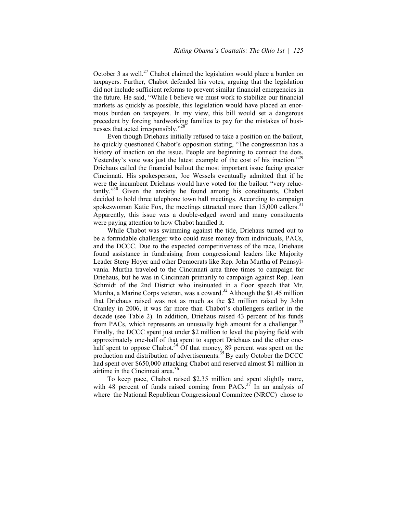October 3 as well.<sup>27</sup> Chabot claimed the legislation would place a burden on taxpayers. Further, Chabot defended his votes, arguing that the legislation did not include sufficient reforms to prevent similar financial emergencies in the future. He said, "While I believe we must work to stabilize our financial markets as quickly as possible, this legislation would have placed an enormous burden on taxpayers. In my view, this bill would set a dangerous precedent by forcing hardworking families to pay for the mistakes of businesses that acted irresponsibly."<sup>28</sup>

 Even though Driehaus initially refused to take a position on the bailout, he quickly questioned Chabot's opposition stating, "The congressman has a history of inaction on the issue. People are beginning to connect the dots. Yesterday's vote was just the latest example of the cost of his inaction.<sup> $29$ </sup> Driehaus called the financial bailout the most important issue facing greater Cincinnati. His spokesperson, Joe Wessels eventually admitted that if he were the incumbent Driehaus would have voted for the bailout "very reluc $t$ antly.<sup>30</sup> Given the anxiety he found among his constituents, Chabot decided to hold three telephone town hall meetings. According to campaign spokeswoman Katie Fox, the meetings attracted more than  $15,000$  callers.<sup>3</sup> Apparently, this issue was a double-edged sword and many constituents were paying attention to how Chabot handled it.

 While Chabot was swimming against the tide, Driehaus turned out to be a formidable challenger who could raise money from individuals, PACs, and the DCCC. Due to the expected competitiveness of the race, Driehaus found assistance in fundraising from congressional leaders like Majority Leader Steny Hoyer and other Democrats like Rep. John Murtha of Pennsylvania. Murtha traveled to the Cincinnati area three times to campaign for Driehaus, but he was in Cincinnati primarily to campaign against Rep. Jean Schmidt of the 2nd District who insinuated in a floor speech that Mr. Murtha, a Marine Corps veteran, was a coward.<sup>32</sup> Although the \$1.45 million that Driehaus raised was not as much as the \$2 million raised by John Cranley in 2006, it was far more than Chabot's challengers earlier in the decade (see Table 2). In addition, Driehaus raised 43 percent of his funds from PACs, which represents an unusually high amount for a challenger.<sup>33</sup> Finally, the DCCC spent just under \$2 million to level the playing field with approximately one-half of that spent to support Driehaus and the other onehalf spent to oppose Chabot.<sup>34</sup> Of that money, 89 percent was spent on the production and distribution of advertisements.<sup>35</sup> By early October the DCCC had spent over \$650,000 attacking Chabot and reserved almost \$1 million in airtime in the Cincinnati area.36

 To keep pace, Chabot raised \$2.35 million and spent slightly more, with 48 percent of funds raised coming from  $PACS$ .<sup>37</sup> In an analysis of where the National Republican Congressional Committee (NRCC) chose to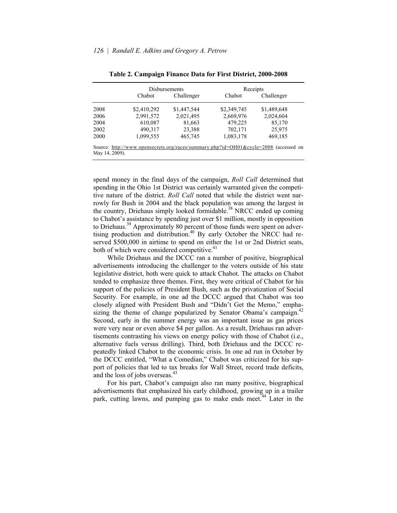|                |             | Disbursements |             | Receipts                                                                             |
|----------------|-------------|---------------|-------------|--------------------------------------------------------------------------------------|
|                | Chabot      | Challenger    | Chabot      | Challenger                                                                           |
| 2008           | \$2,410,292 | \$1,447,544   | \$2,349,745 | \$1,489,648                                                                          |
| 2006           | 2,991,572   | 2,021,495     | 2,669,976   | 2,024,604                                                                            |
| 2004           | 610,087     | 81,663        | 479,225     | 85,170                                                                               |
| 2002           | 490,317     | 23,388        | 702,171     | 25,975                                                                               |
| 2000           | 1,099,555   | 465,745       | 1,083,178   | 469,185                                                                              |
| May 14, 2009). |             |               |             | Source: http://www.opensecrets.org/races/summary.php?id=OH01&cycle=2008 (accessed on |

| Table 2. Campaign Finance Data for First District, 2000-2008 |  |  |  |  |
|--------------------------------------------------------------|--|--|--|--|
|                                                              |  |  |  |  |

spend money in the final days of the campaign, *Roll Call* determined that spending in the Ohio 1st District was certainly warranted given the competitive nature of the district. *Roll Call* noted that while the district went narrowly for Bush in 2004 and the black population was among the largest in the country, Driehaus simply looked formidable.<sup>38</sup> NRCC ended up coming to Chabot's assistance by spending just over \$1 million, mostly in opposition to Driehaus.<sup>39</sup> Approximately 80 percent of those funds were spent on advertising production and distribution.<sup>40</sup> By early October the NRCC had reserved \$500,000 in airtime to spend on either the 1st or 2nd District seats, both of which were considered competitive.<sup>41</sup>

 While Driehaus and the DCCC ran a number of positive, biographical advertisements introducing the challenger to the voters outside of his state legislative district, both were quick to attack Chabot. The attacks on Chabot tended to emphasize three themes. First, they were critical of Chabot for his support of the policies of President Bush, such as the privatization of Social Security. For example, in one ad the DCCC argued that Chabot was too closely aligned with President Bush and "Didn't Get the Memo," emphasizing the theme of change popularized by Senator Obama's campaign.<sup>42</sup> Second, early in the summer energy was an important issue as gas prices were very near or even above \$4 per gallon. As a result, Driehaus ran advertisements contrasting his views on energy policy with those of Chabot (i.e., alternative fuels versus drilling). Third, both Driehaus and the DCCC repeatedly linked Chabot to the economic crisis. In one ad run in October by the DCCC entitled, "What a Comedian," Chabot was criticized for his support of policies that led to tax breaks for Wall Street, record trade deficits, and the loss of jobs overseas.<sup>43</sup>

For his part, Chabot's campaign also ran many positive, biographical advertisements that emphasized his early childhood, growing up in a trailer park, cutting lawns, and pumping gas to make ends meet.<sup>44</sup> Later in the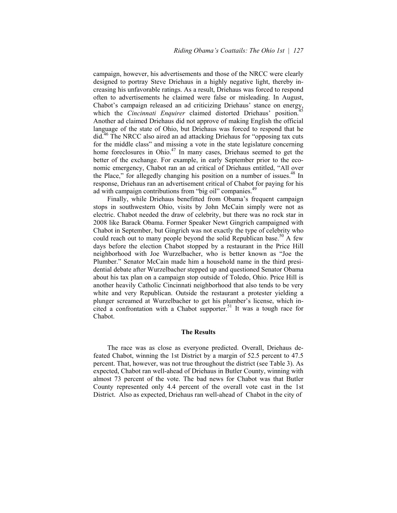campaign, however, his advertisements and those of the NRCC were clearly designed to portray Steve Driehaus in a highly negative light, thereby increasing his unfavorable ratings. As a result, Driehaus was forced to respond often to advertisements he claimed were false or misleading. In August, Chabot's campaign released an ad criticizing Driehaus' stance on energy, which the *Cincinnati Enquirer* claimed distorted Driehaus' position.<sup>4</sup> Another ad claimed Driehaus did not approve of making English the official language of the state of Ohio, but Driehaus was forced to respond that he did.<sup>46</sup> The NRCC also aired an ad attacking Driehaus for "opposing tax cuts" for the middle class" and missing a vote in the state legislature concerning home foreclosures in Ohio.<sup>47</sup> In many cases, Driehaus seemed to get the better of the exchange. For example, in early September prior to the economic emergency, Chabot ran an ad critical of Driehaus entitled, "All over the Place," for allegedly changing his position on a number of issues.<sup>48</sup> In response, Driehaus ran an advertisement critical of Chabot for paying for his ad with campaign contributions from "big oil" companies.<sup>49</sup>

Finally, while Driehaus benefitted from Obama's frequent campaign stops in southwestern Ohio, visits by John McCain simply were not as electric. Chabot needed the draw of celebrity, but there was no rock star in 2008 like Barack Obama. Former Speaker Newt Gingrich campaigned with Chabot in September, but Gingrich was not exactly the type of celebrity who could reach out to many people beyond the solid Republican base.<sup>50</sup> A few days before the election Chabot stopped by a restaurant in the Price Hill neighborhood with Joe Wurzelbacher, who is better known as "Joe the Plumber." Senator McCain made him a household name in the third presidential debate after Wurzelbacher stepped up and questioned Senator Obama about his tax plan on a campaign stop outside of Toledo, Ohio. Price Hill is another heavily Catholic Cincinnati neighborhood that also tends to be very white and very Republican. Outside the restaurant a protester yielding a plunger screamed at Wurzelbacher to get his plumber's license, which incited a confrontation with a Chabot supporter.<sup>51</sup> It was a tough race for Chabot.

#### **The Results**

 The race was as close as everyone predicted. Overall, Driehaus defeated Chabot, winning the 1st District by a margin of 52.5 percent to 47.5 percent. That, however, was not true throughout the district (see Table 3). As expected, Chabot ran well-ahead of Driehaus in Butler County, winning with almost 73 percent of the vote. The bad news for Chabot was that Butler County represented only 4.4 percent of the overall vote cast in the 1st District. Also as expected, Driehaus ran well-ahead of Chabot in the city of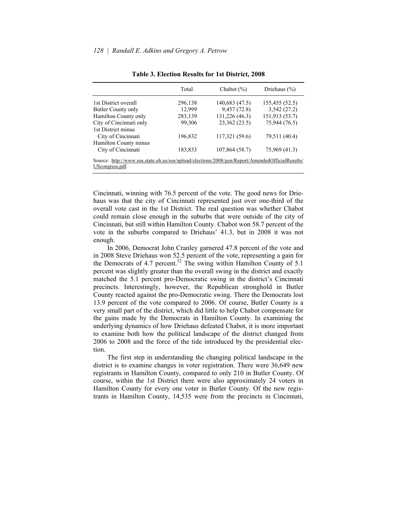|                                                                                                                    | Total   | Chabot $(\% )$ | Driehaus $(\% )$ |
|--------------------------------------------------------------------------------------------------------------------|---------|----------------|------------------|
| 1st District overall                                                                                               | 296,138 | 140,683 (47.5) | 155,455 (52.5)   |
| Butler County only                                                                                                 | 12,999  | 9,457 (72.8)   | 3,542(27.2)      |
| Hamilton County only                                                                                               | 283,139 | 131,226 (46.3) | 151,913 (53.7)   |
| City of Cincinnati only                                                                                            | 99,306  | 23,362 (23.5)  | 75,944 (76.5)    |
| 1st District minus                                                                                                 |         |                |                  |
| City of Cincinnati                                                                                                 | 196,832 | 117,321 (59.6) | 79,511 (40.4)    |
| Hamilton County minus                                                                                              |         |                |                  |
| City of Cincinnati                                                                                                 | 183,833 | 107,864 (58.7) | 75,969 (41.3)    |
| Source: http://www.sos.state.oh.us/sos/upload/elections/2008/gen/Report/AmendedOfficialResults/<br>UScongress.pdf. |         |                |                  |

#### **Table 3. Election Results for 1st District, 2008**

Cincinnati, winning with 76.5 percent of the vote. The good news for Driehaus was that the city of Cincinnati represented just over one-third of the overall vote cast in the 1st District. The real question was whether Chabot could remain close enough in the suburbs that were outside of the city of Cincinnati, but still within Hamilton County. Chabot won 58.7 percent of the vote in the suburbs compared to Driehaus' 41.3, but in 2008 it was not enough.

 In 2006, Democrat John Cranley garnered 47.8 percent of the vote and in 2008 Steve Driehaus won 52.5 percent of the vote, representing a gain for the Democrats of 4.7 percent.<sup>52</sup> The swing within Hamilton County of 5.1 percent was slightly greater than the overall swing in the district and exactly matched the 5.1 percent pro-Democratic swing in the district's Cincinnati precincts. Interestingly, however, the Republican stronghold in Butler County reacted against the pro-Democratic swing. There the Democrats lost 13.9 percent of the vote compared to 2006. Of course, Butler County is a very small part of the district, which did little to help Chabot compensate for the gains made by the Democrats in Hamilton County. In examining the underlying dynamics of how Driehaus defeated Chabot, it is more important to examine both how the political landscape of the district changed from 2006 to 2008 and the force of the tide introduced by the presidential election.

 The first step in understanding the changing political landscape in the district is to examine changes in voter registration. There were 36,649 new registrants in Hamilton County, compared to only 210 in Butler County. Of course, within the 1st District there were also approximately 24 voters in Hamilton County for every one voter in Butler County. Of the new registrants in Hamilton County, 14,535 were from the precincts in Cincinnati,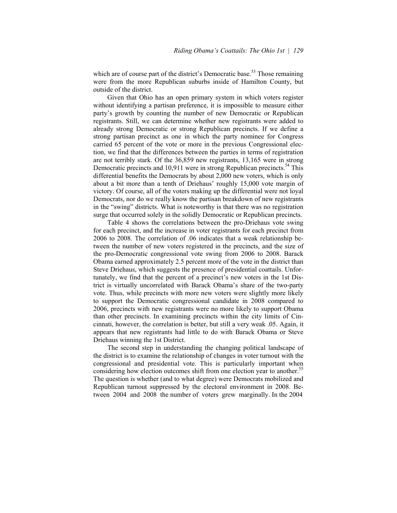which are of course part of the district's Democratic base.<sup>53</sup> Those remaining were from the more Republican suburbs inside of Hamilton County, but outside of the district.

 Given that Ohio has an open primary system in which voters register without identifying a partisan preference, it is impossible to measure either party's growth by counting the number of new Democratic or Republican registrants. Still, we can determine whether new registrants were added to already strong Democratic or strong Republican precincts. If we define a strong partisan precinct as one in which the party nominee for Congress carried 65 percent of the vote or more in the previous Congressional election, we find that the differences between the parties in terms of registration are not terribly stark. Of the 36,859 new registrants, 13,165 were in strong Democratic precincts and 10,911 were in strong Republican precincts.<sup>54</sup> This differential benefits the Democrats by about 2,000 new voters, which is only about a bit more than a tenth of Driehaus' roughly 15,000 vote margin of victory. Of course, all of the voters making up the differential were not loyal Democrats, nor do we really know the partisan breakdown of new registrants in the "swing" districts. What is noteworthy is that there was no registration surge that occurred solely in the solidly Democratic or Republican precincts.

 Table 4 shows the correlations between the pro-Driehaus vote swing for each precinct, and the increase in voter registrants for each precinct from 2006 to 2008. The correlation of .06 indicates that a weak relationship between the number of new voters registered in the precincts, and the size of the pro-Democratic congressional vote swing from 2006 to 2008. Barack Obama earned approximately 2.5 percent more of the vote in the district than Steve Driehaus, which suggests the presence of presidential coattails. Unfortunately, we find that the percent of a precinct's new voters in the 1st District is virtually uncorrelated with Barack Obama's share of the two-party vote. Thus, while precincts with more new voters were slightly more likely to support the Democratic congressional candidate in 2008 compared to 2006, precincts with new registrants were no more likely to support Obama than other precincts. In examining precincts within the city limits of Cincinnati, however, the correlation is better, but still a very weak .05. Again, it appears that new registrants had little to do with Barack Obama or Steve Driehaus winning the 1st District.

 The second step in understanding the changing political landscape of the district is to examine the relationship of changes in voter turnout with the congressional and presidential vote. This is particularly important when considering how election outcomes shift from one election year to another.<sup>55</sup> The question is whether (and to what degree) were Democrats mobilized and Republican turnout suppressed by the electoral environment in 2008. Between 2004 and 2008 the number of voters grew marginally. In the 2004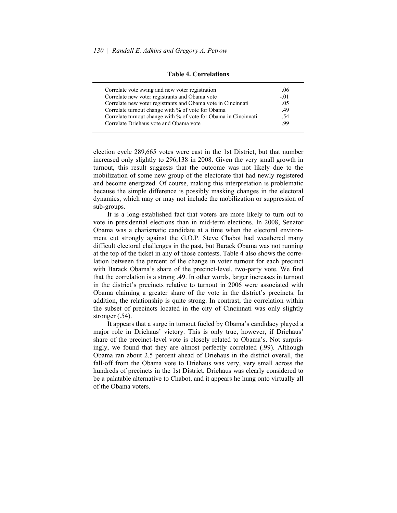| Correlate vote swing and new voter registration                 | .06    |
|-----------------------------------------------------------------|--------|
| Correlate new voter registrants and Obama vote                  | $-.01$ |
| Correlate new voter registrants and Obama vote in Cincinnati    | .05    |
| Correlate turnout change with % of vote for Obama               | .49    |
| Correlate turnout change with % of vote for Obama in Cincinnati | -54    |
| Correlate Driehaus vote and Obama vote                          | -99    |

**Table 4. Correlations** 

election cycle 289,665 votes were cast in the 1st District, but that number increased only slightly to 296,138 in 2008. Given the very small growth in turnout, this result suggests that the outcome was not likely due to the mobilization of some new group of the electorate that had newly registered and become energized. Of course, making this interpretation is problematic because the simple difference is possibly masking changes in the electoral dynamics, which may or may not include the mobilization or suppression of sub-groups.

 It is a long-established fact that voters are more likely to turn out to vote in presidential elections than in mid-term elections. In 2008, Senator Obama was a charismatic candidate at a time when the electoral environment cut strongly against the G.O.P. Steve Chabot had weathered many difficult electoral challenges in the past, but Barack Obama was not running at the top of the ticket in any of those contests. Table 4 also shows the correlation between the percent of the change in voter turnout for each precinct with Barack Obama's share of the precinct-level, two-party vote. We find that the correlation is a strong .49. In other words, larger increases in turnout in the district's precincts relative to turnout in 2006 were associated with Obama claiming a greater share of the vote in the district's precincts. In addition, the relationship is quite strong. In contrast, the correlation within the subset of precincts located in the city of Cincinnati was only slightly stronger (.54).

It appears that a surge in turnout fueled by Obama's candidacy played a major role in Driehaus' victory. This is only true, however, if Driehaus' share of the precinct-level vote is closely related to Obama's. Not surprisingly, we found that they are almost perfectly correlated (.99). Although Obama ran about 2.5 percent ahead of Driehaus in the district overall, the fall-off from the Obama vote to Driehaus was very, very small across the hundreds of precincts in the 1st District. Driehaus was clearly considered to be a palatable alternative to Chabot, and it appears he hung onto virtually all of the Obama voters.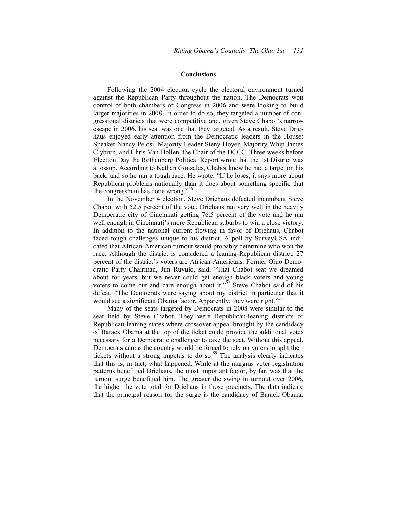#### **Conclusions**

 Following the 2004 election cycle the electoral environment turned against the Republican Party throughout the nation. The Democrats won control of both chambers of Congress in 2006 and were looking to build larger majorities in 2008. In order to do so, they targeted a number of congressional districts that were competitive and, given Steve Chabot's narrow escape in 2006, his seat was one that they targeted. As a result, Steve Driehaus enjoyed early attention from the Democratic leaders in the House: Speaker Nancy Pelosi, Majority Leader Steny Hoyer, Majority Whip James Clyburn, and Chris Van Hollen, the Chair of the DCCC. Three weeks before Election Day the Rothenberg Political Report wrote that the 1st District was a tossup. According to Nathan Gonzales, Chabot knew he had a target on his back, and so he ran a tough race. He wrote, "If he loses, it says more about Republican problems nationally than it does about something specific that the congressman has done wrong."<sup>56</sup>

 In the November 4 election, Steve Driehaus defeated incumbent Steve Chabot with 52.5 percent of the vote. Driehaus ran very well in the heavily Democratic city of Cincinnati getting 76.5 percent of the vote and he ran well enough in Cincinnati's more Republican suburbs to win a close victory. In addition to the national current flowing in favor of Driehaus, Chabot faced tough challenges unique to his district. A poll by SurveyUSA indicated that African-American turnout would probably determine who won the race. Although the district is considered a leaning-Republican district, 27 percent of the district's voters are African-Americans. Former Ohio Democratic Party Chairman, Jim Ruvulo, said, "That Chabot seat we dreamed about for years, but we never could get enough black voters and young voters to come out and care enough about it.<sup> $57$ </sup> Steve Chabot said of his defeat, "The Democrats were saying about my district in particular that it would see a significant Obama factor. Apparently, they were right.<sup>558</sup>

 Many of the seats targeted by Democrats in 2008 were similar to the seat held by Steve Chabot. They were Republican-leaning districts or Republican-leaning states where crossover appeal brought by the candidacy of Barack Obama at the top of the ticket could provide the additional votes necessary for a Democratic challenger to take the seat. Without this appeal, Democrats across the country would be forced to rely on voters to split their tickets without a strong impetus to do so.<sup>59</sup> The analysis clearly indicates that this is, in fact, what happened. While at the margins voter registration patterns benefitted Driehaus, the most important factor, by far, was that the turnout surge benefitted him. The greater the swing in turnout over 2006, the higher the vote total for Driehaus in those precincts. The data indicate that the principal reason for the surge is the candidacy of Barack Obama.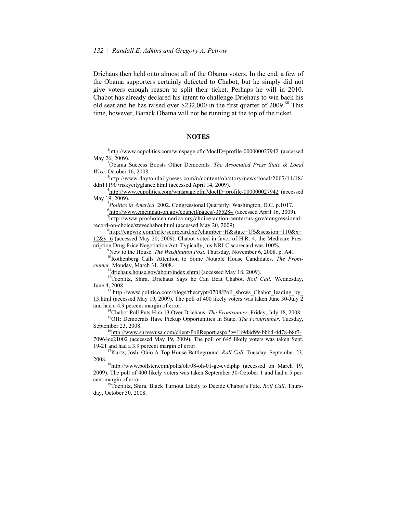Driehaus then held onto almost all of the Obama voters. In the end, a few of the Obama supporters certainly defected to Chabot, but he simply did not give voters enough reason to split their ticket. Perhaps he will in 2010. Chabot has already declared his intent to challenge Driehaus to win back his old seat and he has raised over \$232,000 in the first quarter of 2009.<sup>60</sup> This time, however, Barack Obama will not be running at the top of the ticket.

## **NOTES**

<sup>1</sup>http://www.cqpolitics.com/wmspage.cfm?docID=profile-000000027942 (accessed May  $26, 2009$ ).

Obama Success Boosts Other Democrats*. The Associated Press State & Local Wire*. October 16, 2008.

<sup>3</sup>http://www.daytondailynews.com/n/content/oh/story/news/local/2007/11/18/ ddn111907riskycityglance.html (accessed April 14, 2009).

 $^{4}$ http://www.cqpolitics.com/wmspage.cfm?docID=profile-000000027942 (accessed May 19, 2009).

<sup>5</sup>Politics in America. 2002. Congressional Quarterly: Washington, D.C. p.1017.

 $^{6}$ http://www.cincinnati-oh.gov/council/pages/-35528-/ (accessed April 16, 2009).

 $\frac{7}{1}$ http://www.prochoiceamerica.org/choice-action-center/us-gov/congressionalrecord-on-choice/stevechabot.html (accessed May 20, 2009).

http://capwiz.com/nrlc/scorecard.xc?chamber=H&state=US&session=110&x= 12&y=6 (accessed May 20, 2009). Chabot voted in favor of H.R. 4, the Medicare Prescription Drug Price Negotiation Act. Typically, his NRLC scorecard was 100%.<br><sup>9</sup>New to the House. *The Washington Post*. Thursday, November 6, 2008. p. A41.

<sup>10</sup>Rothenberg Calls Attention to Some Notable House Candidates. *The Frontrunner*. Monday, March 31, 2008.<br><sup>11</sup> driehaus.house.gov/about/index.shtml (accessed May 18, 2009).

<sup>12</sup>Toeplitz, Shira. Driehaus Says he Can Beat Chabot. *Roll Call.* Wednesday, June 4, 2008. 13 http://www.politico.com/blogs/thecrypt/0708/Poll\_shows\_Chabot\_leading\_by\_

13.html (accessed May 19, 2009). The poll of 400 likely voters was taken June 30-July 2 and had a 4.9 percent margin of error.<br><sup>14</sup>Chabot Poll Puts Him 13 Over Driehaus. *The Frontrunner*. Friday, July 18, 2008.<br><sup>15</sup>OH: Democrats Have Pickup Opportunities In State. *The Frontrunner*. Tuesday,

September 23, 2008.<br><sup>16</sup>http://www.surveyusa.com/client/PollReport.aspx?g=1b9d8d99-bbbd-4d78-b8f7-

70964ce21002 (accessed May 19, 2009). The poll of 645 likely voters was taken Sept. 19-21 and had a 3.9 percent margin of error. 17Kurtz, Josh. Ohio A Top House Battleground. *Roll Call*. Tuesday, September 23,

2008. 18http://www.pollster.com/polls/oh/08-oh-01-ge-cvd.php (accessed on March 19, 2009). The poll of 400 likely voters was taken September 30-October 1 and had a 5 percent margin of error.<br><sup>19</sup>Toeplitz, Shira. Black Turnout Likely to Decide Chabot's Fate. *Roll Call*. Thurs-

day, October 30, 2008.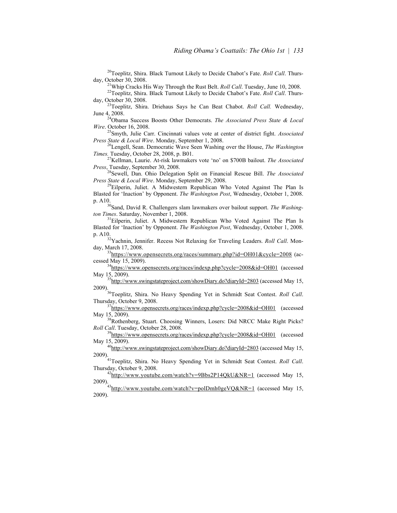<sup>20</sup>Toeplitz, Shira. Black Turnout Likely to Decide Chabot's Fate. *Roll Call*. Thursday, October 30, 2008.<br><sup>21</sup>Whip Cracks His Way Through the Rust Belt. *Roll Call*. Tuesday, June 10, 2008.<br><sup>22</sup>Toeplitz, Shira. Black Turnout Likely to Decide Chabot's Fate. *Roll Call*. Thurs-

day, October 30, 2008. 23Toeplitz, Shira. Driehaus Says he Can Beat Chabot. *Roll Call.* Wednesday,

June 4, 2008. 24Obama Success Boosts Other Democrats. *The Associated Press State & Local* 

*Wire*. October 16, 2008.

25Smyth, Julie Carr. Cincinnati values vote at center of district fight. *Associated Press State & Local Wire*. Monday, September 1, 2008.<br><sup>26</sup>Lengell, Sean. Democratic Wave Seen Washing over the House, *The Washington* 

*Times.* Tuesday, October 28, 2008, p. B01.

<sup>27</sup>Kellman, Laurie. At-risk lawmakers vote 'no' on \$700B bailout. *The Associated Press*, Tuesday, September 30, 2008.

28Sewell, Dan. Ohio Delegation Split on Financial Rescue Bill. *The Associated Press State & Local Wire*. Monday, September 29, 2008.<br><sup>29</sup>Eilperin, Juliet. A Midwestern Republican Who Voted Against The Plan Is

Blasted for 'Inaction' by Opponent. *The Washington Post*, Wednesday, October 1, 2008. p. A10.<br><sup>30</sup>Sand, David R. Challengers slam lawmakers over bailout support. *The Washing-*

*ton Times*. Saturday, November 1, 2008.<br><sup>31</sup>Eilperin, Juliet. A Midwestern Republican Who Voted Against The Plan Is

Blasted for 'Inaction' by Opponent. *The Washington Post*, Wednesday, October 1, 2008. p. A10.<br><sup>32</sup>Yachnin, Jennifer. Recess Not Relaxing for Traveling Leaders. *Roll Call*. Mon-

day, March 17, 2008.<br><sup>33</sup>https://www.opensecrets.org/races/summary.php?id=OH01&cycle=2008 (ac-<br>cessed May 15, 2009).

 $^{34}$ https://www.opensecrets.org/races/indexp.php?cycle=2008&id=OH01 (accessed May 15, 2009).<br><sup>35</sup>http://www.swingstateproject.com/showDiary.do?diaryId=2803 (accessed May 15,

2009). 36Toeplitz, Shira. No Heavy Spending Yet in Schmidt Seat Contest. *Roll Call*.

 $37$ https://www.opensecrets.org/races/indexp.php?cycle=2008&id=OH01 (accessed

May 15, 2009). <sup>38</sup>Rothenberg, Stuart. Choosing Winners, Losers: Did NRCC Make Right Picks?<br> *Roll Call*. Tuesday, October 28, 2008.

<sup>39</sup>https://www.opensecrets.org/races/indexp.php?cycle=2008&id=OH01 (accessed May 15, 2009).<br><sup>40</sup>http://www.swingstateproject.com/showDiary.do?diaryId=2803 (accessed May 15,

2009). 41Toeplitz, Shira. No Heavy Spending Yet in Schmidt Seat Contest. *Roll Call*.

 $42$ http://www.youtube.com/watch?v=9Bbs2P14QkU&NR=1 (accessed May 15, 2009).<br><sup>43</sup>http://www.youtube.com/watch?v=polDmh0geVQ&NR=1 (accessed May 15,

2009).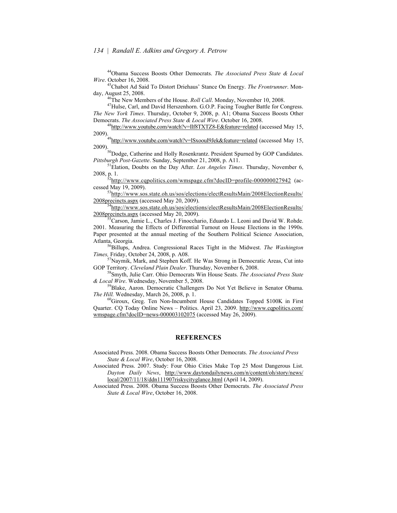44Obama Success Boosts Other Democrats. *The Associated Press State & Local Wire*. October 16, 2008.

<sup>45</sup>Chabot Ad Said To Distort Driehaus' Stance On Energy. *The Frontrunner*. Monday, August 25, 2008.<br><sup>46</sup>The New Members of the House. *Roll Call*. Monday, November 10, 2008.<br><sup>47</sup>Hulse, Carl, and David Herszenhorn. G.O.P. Facing Tougher Battle for Congress.

*The New York Times*. Thursday, October 9, 2008, p. A1; Obama Success Boosts Other Democrats. *The Associated Press State & Local Wire*. October 16, 2008.<br><sup>48</sup>http://www.youtube.com/watch<u>?v=Ilf8TXTZ8-E&feature=related</u> (accessed May 15,

2009).<br><sup>49</sup>http://www.youtube.com/watch?v=lSxoouI9Jek&feature=related (accessed May 15,<br>2009).

 $^{50}$ Dodge, Catherine and Holly Rosenkrantz. President Spurned by GOP Candidates.<br>Pittsburgh Post-Gazette. Sunday, September 21, 2008, p. A11.

<sup>51</sup> Elation, Doubts on the Day After. *Los Angeles Times*. Thursday, November 6,

2008, p. 1.  $52 \frac{\text{http://www.capolities.com/wmspage.cfm?docID=profile-000000027942}}{\text{http://www.capolities.com/wmspage.cfm?docID=profile-000000027942}}$  (accessed May 19, 2009).

 $^{53}$ http://www.sos.state.oh.us/sos/elections/electResultsMain/2008ElectionResults/<br>2008precincts.aspx (accessed May 20, 2009).

 $^{54}$ http://www.sos.state.oh.us/sos/elections/electResultsMain/2008ElectionResults/ 2008 precincts.aspx (accessed May 20, 2009).<br><sup>55</sup>Carson, Jamie L., Charles J. Finocchario, Eduardo L. Leoni and David W. Rohde.

2001. Measuring the Effects of Differential Turnout on House Elections in the 1990s. Paper presented at the annual meeting of the Southern Political Science Association, Atlanta, Georgia.<br><sup>56</sup>Billups, Andrea. Congressional Races Tight in the Midwest. *The Washington* 

*Times,* Friday, October 24, 2008, p. A08.

57Naymik, Mark, and Stephen Koff. He Was Strong in Democratic Areas, Cut into GOP Territory. *Cleveland Plain Dealer*. Thursday, November 6, 2008.<br><sup>58</sup>Smyth, Julie Carr. Ohio Democrats Win House Seats. *The Associated Press State* 

*& Local Wire*. Wednesday, November 5, 2008. 59Blake, Aaron. Democratic Challengers Do Not Yet Believe in Senator Obama.

*The Hill.* Wednesday, March 26, 2008, p. 1.<br><sup>60</sup>Giroux, Greg. Ten Non-Incumbent House Candidates Topped \$100K in First

Quarter. CQ Today Online News – Politics. April 23, 2009. http://www.cqpolitics.com/ wmspage.cfm?docID=news-000003102075 (accessed May 26, 2009).

# **REFERENCES**

Associated Press. 2008. Obama Success Boosts Other Democrats. *The Associated Press State & Local Wire*, October 16, 2008.

Associated Press. 2007. Study: Four Ohio Cities Make Top 25 Most Dangerous List. *Dayton Daily News*, http://www.daytondailynews.com/n/content/oh/story/news/ local/2007/11/18/ddn111907riskycityglance.html (April 14, 2009).

Associated Press. 2008. Obama Success Boosts Other Democrats. *The Associated Press State & Local Wire*, October 16, 2008.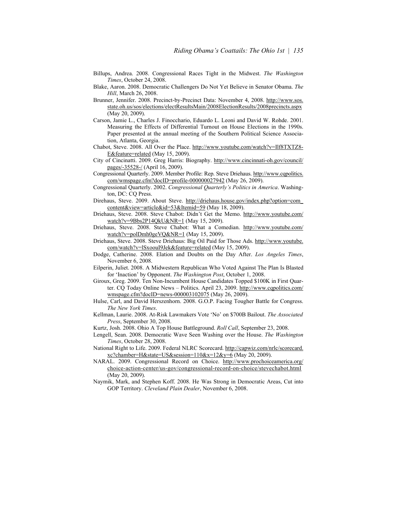- Billups, Andrea. 2008. Congressional Races Tight in the Midwest. *The Washington Times*, October 24, 2008.
- Blake, Aaron. 2008. Democratic Challengers Do Not Yet Believe in Senator Obama. *The Hill*, March 26, 2008.
- Brunner, Jennifer. 2008. Precinct-by-Precinct Data: November 4, 2008. http://www.sos. state.oh.us/sos/elections/electResultsMain/2008ElectionResults/2008precincts.aspx (May 20, 2009).
- Carson, Jamie L., Charles J. Finocchario, Eduardo L. Leoni and David W. Rohde. 2001. Measuring the Effects of Differential Turnout on House Elections in the 1990s. Paper presented at the annual meeting of the Southern Political Science Association, Atlanta, Georgia.
- Chabot, Steve. 2008. All Over the Place. http://www.youtube.com/watch?v=Ilf8TXTZ8- E&feature=related (May 15, 2009).
- City of Cincinatti. 2009. Greg Harris: Biography. http://www.cincinnati-oh.gov/council/ pages/-35528-/ (April 16, 2009).
- Congressional Quarterly. 2009. Member Profile: Rep. Steve Driehaus. http://www.cqpolitics. com/wmspage.cfm?docID=profile-000000027942 (May 26, 2009).
- Congressional Quarterly. 2002. *Congressional Quarterlyís Politics in America*. Washington, DC: CQ Press.
- Direhaus, Steve. 2009. About Steve. http://driehaus.house.gov/index.php?option=com\_ content&view=article&id=53&Itemid=59 (May 18, 2009).
- Driehaus, Steve. 2008. Steve Chabot: Didnít Get the Memo. http://www.youtube.com/ watch?v=9Bbs2P14QkU&NR=1 (May 15, 2009).
- Driehaus, Steve. 2008. Steve Chabot: What a Comedian. http://www.youtube.com/ watch?v=polDmh0geVQ&NR=1 (May 15, 2009).
- Driehaus, Steve. 2008. Steve Driehaus: Big Oil Paid for Those Ads. http://www.youtube. com/watch?v=lSxoouI9Jek&feature=related (May 15, 2009).
- Dodge, Catherine. 2008. Elation and Doubts on the Day After. *Los Angeles Times*, November 6, 2008.
- Eilperin, Juliet. 2008. A Midwestern Republican Who Voted Against The Plan Is Blasted for 'Inaction' by Opponent. *The Washington Post*, October 1, 2008.
- Giroux, Greg. 2009. Ten Non-Incumbent House Candidates Topped \$100K in First Quarter. CQ Today Online News – Politics. April 23, 2009. http://www.cqpolitics.com/ wmspage.cfm?docID=news-000003102075 (May 26, 2009).
- Hulse, Carl, and David Herszenhorn. 2008. G.O.P. Facing Tougher Battle for Congress. *The New York Times*.
- Kellman, Laurie. 2008. At-Risk Lawmakers Vote 'No' on \$700B Bailout. *The Associated Press*, September 30, 2008.
- Kurtz, Josh. 2008. Ohio A Top House Battleground. *Roll Call*, September 23, 2008.
- Lengell, Sean. 2008. Democratic Wave Seen Washing over the House. *The Washington Times*, October 28, 2008.
- National Right to Life. 2009. Federal NLRC Scorecard. http://capwiz.com/nrlc/scorecard. xc?chamber=H&state=US&session=110&x=12&y=6 (May 20, 2009).
- NARAL. 2009. Congressional Record on Choice. http://www.prochoiceamerica.org/ choice-action-center/us-gov/congressional-record-on-choice/stevechabot.html (May 20, 2009).
- Naymik, Mark, and Stephen Koff. 2008. He Was Strong in Democratic Areas, Cut into GOP Territory. *Cleveland Plain Dealer*, November 6, 2008.